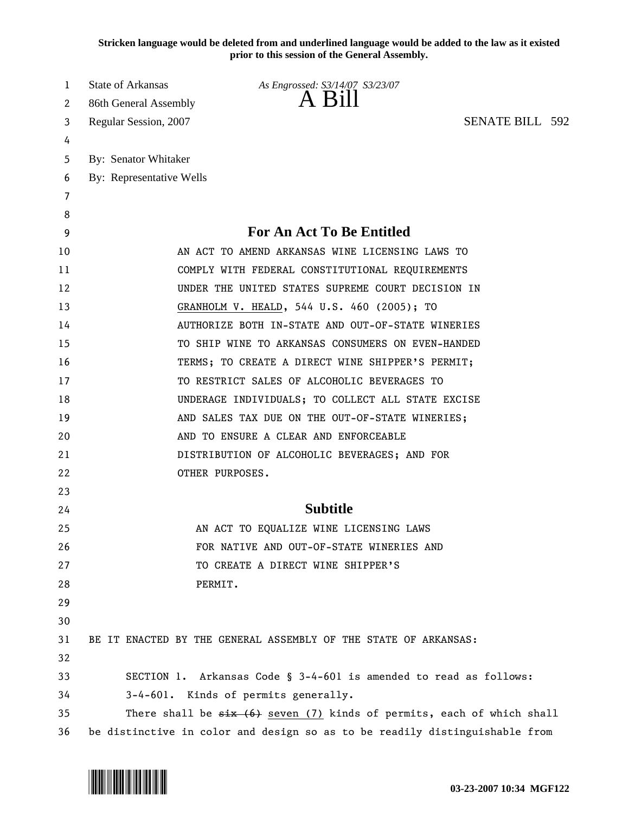**Stricken language would be deleted from and underlined language would be added to the law as it existed prior to this session of the General Assembly.**

| 1  | State of Arkansas        | As Engrossed: S3/14/07 S3/23/07                                               |  |
|----|--------------------------|-------------------------------------------------------------------------------|--|
| 2  | 86th General Assembly    | A Bill                                                                        |  |
| 3  | Regular Session, 2007    | <b>SENATE BILL 592</b>                                                        |  |
| 4  |                          |                                                                               |  |
| 5  | By: Senator Whitaker     |                                                                               |  |
| 6  | By: Representative Wells |                                                                               |  |
| 7  |                          |                                                                               |  |
| 8  |                          |                                                                               |  |
| 9  |                          | <b>For An Act To Be Entitled</b>                                              |  |
| 10 |                          | AN ACT TO AMEND ARKANSAS WINE LICENSING LAWS TO                               |  |
| 11 |                          | COMPLY WITH FEDERAL CONSTITUTIONAL REQUIREMENTS                               |  |
| 12 |                          | UNDER THE UNITED STATES SUPREME COURT DECISION IN                             |  |
| 13 |                          | GRANHOLM V. HEALD, 544 U.S. 460 (2005); TO                                    |  |
| 14 |                          | AUTHORIZE BOTH IN-STATE AND OUT-OF-STATE WINERIES                             |  |
| 15 |                          | TO SHIP WINE TO ARKANSAS CONSUMERS ON EVEN-HANDED                             |  |
| 16 |                          | TERMS; TO CREATE A DIRECT WINE SHIPPER'S PERMIT;                              |  |
| 17 |                          | TO RESTRICT SALES OF ALCOHOLIC BEVERAGES TO                                   |  |
| 18 |                          | UNDERAGE INDIVIDUALS; TO COLLECT ALL STATE EXCISE                             |  |
| 19 |                          | AND SALES TAX DUE ON THE OUT-OF-STATE WINERIES;                               |  |
| 20 |                          | AND TO ENSURE A CLEAR AND ENFORCEABLE                                         |  |
| 21 |                          | DISTRIBUTION OF ALCOHOLIC BEVERAGES; AND FOR                                  |  |
| 22 |                          | OTHER PURPOSES.                                                               |  |
| 23 |                          |                                                                               |  |
| 24 |                          | <b>Subtitle</b>                                                               |  |
| 25 |                          | AN ACT TO EQUALIZE WINE LICENSING LAWS                                        |  |
| 26 |                          | FOR NATIVE AND OUT-OF-STATE WINERIES AND                                      |  |
| 27 |                          | TO CREATE A DIRECT WINE SHIPPER'S                                             |  |
| 28 |                          | PERMIT.                                                                       |  |
| 29 |                          |                                                                               |  |
| 30 |                          |                                                                               |  |
| 31 |                          | BE IT ENACTED BY THE GENERAL ASSEMBLY OF THE STATE OF ARKANSAS:               |  |
| 32 |                          |                                                                               |  |
| 33 |                          | SECTION 1. Arkansas Code § 3-4-601 is amended to read as follows:             |  |
| 34 |                          | 3-4-601. Kinds of permits generally.                                          |  |
| 35 |                          | There shall be $\xi$ ix $(6)$ seven (7) kinds of permits, each of which shall |  |
| 36 |                          | be distinctive in color and design so as to be readily distinguishable from   |  |

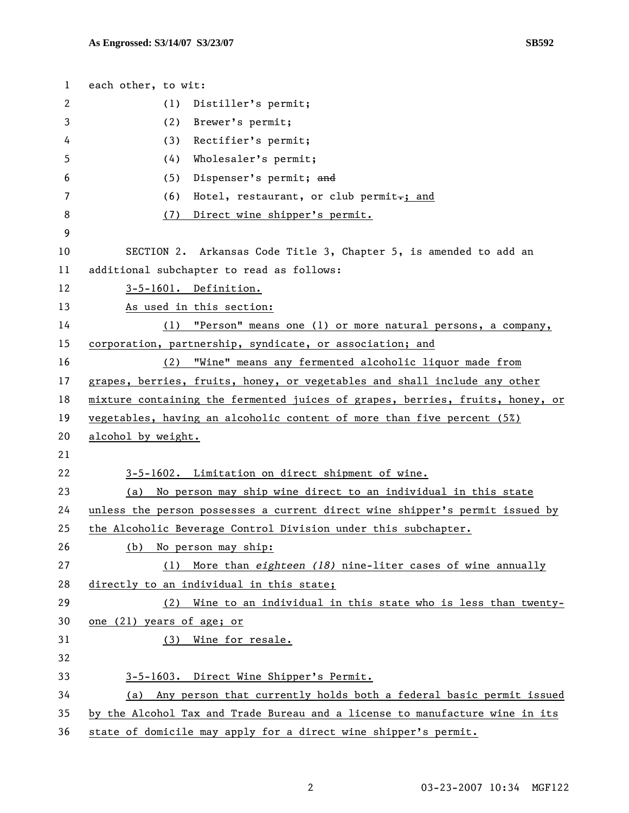| $\mathbf{1}$ | each other, to wit:                                                           |  |
|--------------|-------------------------------------------------------------------------------|--|
| 2            | (1)<br>Distiller's permit;                                                    |  |
| 3            | (2) Brewer's permit;                                                          |  |
| 4            | Rectifier's permit;<br>(3)                                                    |  |
| 5            | Wholesaler's permit;<br>(4)                                                   |  |
| 6            | (5)<br>Dispenser's permit; and                                                |  |
| 7            | Hotel, restaurant, or club permit-; and<br>(6)                                |  |
| 8            | (7) Direct wine shipper's permit.                                             |  |
| 9            |                                                                               |  |
| 10           | SECTION 2. Arkansas Code Title 3, Chapter 5, is amended to add an             |  |
| 11           | additional subchapter to read as follows:                                     |  |
| 12           | 3-5-1601. Definition.                                                         |  |
| 13           | As used in this section:                                                      |  |
| 14           | "Person" means one (1) or more natural persons, a company,<br>(1)             |  |
| 15           | corporation, partnership, syndicate, or association; and                      |  |
| 16           | (2) "Wine" means any fermented alcoholic liquor made from                     |  |
| 17           | grapes, berries, fruits, honey, or vegetables and shall include any other     |  |
| 18           | mixture containing the fermented juices of grapes, berries, fruits, honey, or |  |
| 19           | vegetables, having an alcoholic content of more than five percent (5%)        |  |
| 20           | alcohol by weight.                                                            |  |
| 21           |                                                                               |  |
| 22           | 3-5-1602. Limitation on direct shipment of wine.                              |  |
| 23           | (a) No person may ship wine direct to an individual in this state             |  |
| 24           | unless the person possesses a current direct wine shipper's permit issued by  |  |
| 25           | the Alcoholic Beverage Control Division under this subchapter.                |  |
| 26           | No person may ship:<br>(b)                                                    |  |
| 27           | More than eighteen (18) nine-liter cases of wine annually<br>(1)              |  |
| 28           | directly to an individual in this state;                                      |  |
| 29           | Wine to an individual in this state who is less than twenty-<br>(2)           |  |
| 30           | one (21) years of age; or                                                     |  |
| 31           | Wine for resale.<br>(3)                                                       |  |
| 32           |                                                                               |  |
| 33           | 3-5-1603. Direct Wine Shipper's Permit.                                       |  |
| 34           | (a) Any person that currently holds both a federal basic permit issued        |  |
| 35           | by the Alcohol Tax and Trade Bureau and a license to manufacture wine in its  |  |
| 36           | state of domicile may apply for a direct wine shipper's permit.               |  |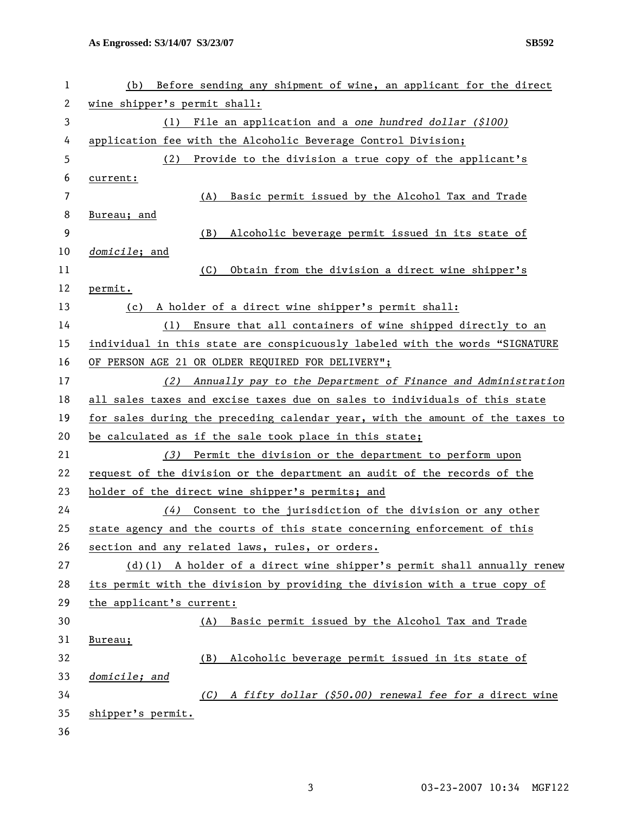| 1  | Before sending any shipment of wine, an applicant for the direct<br>(b)       |
|----|-------------------------------------------------------------------------------|
| 2  | wine shipper's permit shall:                                                  |
| 3  | File an application and a one hundred dollar (\$100)<br>(1)                   |
| 4  | application fee with the Alcoholic Beverage Control Division;                 |
| 5  | Provide to the division a true copy of the applicant's<br>(2)                 |
| 6  | current:                                                                      |
| 7  | Basic permit issued by the Alcohol Tax and Trade<br>(A)                       |
| 8  | Bureau; and                                                                   |
| 9  | (B)<br>Alcoholic beverage permit issued in its state of                       |
| 10 | domicile; and                                                                 |
| 11 | (C)<br>Obtain from the division a direct wine shipper's                       |
| 12 | permit.                                                                       |
| 13 | A holder of a direct wine shipper's permit shall:<br>(c)                      |
| 14 | Ensure that all containers of wine shipped directly to an<br>(1)              |
| 15 | individual in this state are conspicuously labeled with the words "SIGNATURE  |
| 16 | OF PERSON AGE 21 OR OLDER REQUIRED FOR DELIVERY";                             |
| 17 | Annually pay to the Department of Finance and Administration<br>(2)           |
| 18 | all sales taxes and excise taxes due on sales to individuals of this state    |
| 19 | for sales during the preceding calendar year, with the amount of the taxes to |
| 20 | be calculated as if the sale took place in this state;                        |
| 21 | Permit the division or the department to perform upon<br>(3)                  |
| 22 | request of the division or the department an audit of the records of the      |
| 23 | holder of the direct wine shipper's permits; and                              |
| 24 | Consent to the jurisdiction of the division or any other<br>(4)               |
| 25 | state agency and the courts of this state concerning enforcement of this      |
| 26 | section and any related laws, rules, or orders.                               |
| 27 | $(d)(1)$ A holder of a direct wine shipper's permit shall annually renew      |
| 28 | its permit with the division by providing the division with a true copy of    |
| 29 | the applicant's current:                                                      |
| 30 | Basic permit issued by the Alcohol Tax and Trade<br>(A)                       |
| 31 | Bureau;                                                                       |
| 32 | Alcoholic beverage permit issued in its state of<br>(B)                       |
| 33 | domicile; and                                                                 |
| 34 | A fifty dollar (\$50.00) renewal fee for a direct wine<br>(C)                 |
| 35 | shipper's permit.                                                             |
| 36 |                                                                               |